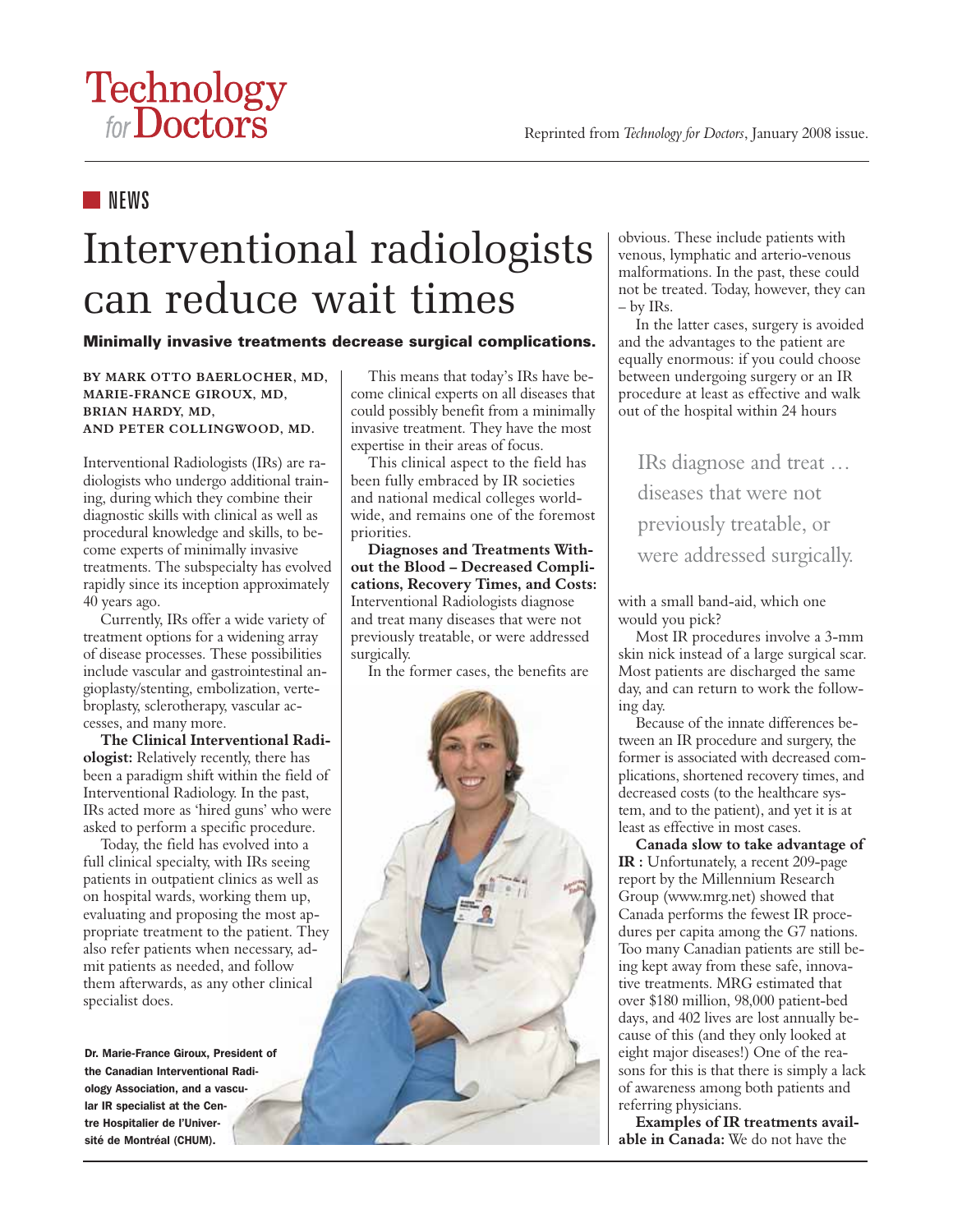# Technology<br>for Doctors

### **NEWS**

## Interventional radiologists can reduce wait times

#### Minimally invasive treatments decrease surgical complications.

**BY MARK OTTO BAERLOCHER, MD, MARIE-FRANCE GIROUX, MD, BRIAN HARDY, MD, AND PETER COLLINGWOOD, MD.**

Interventional Radiologists (IRs) are radiologists who undergo additional training, during which they combine their diagnostic skills with clinical as well as procedural knowledge and skills, to become experts of minimally invasive treatments. The subspecialty has evolved rapidly since its inception approximately 40 years ago.

Currently, IRs offer a wide variety of treatment options for a widening array of disease processes. These possibilities include vascular and gastrointestinal angioplasty/stenting, embolization, vertebroplasty, sclerotherapy, vascular accesses, and many more.

**The Clinical Interventional Radiologist:** Relatively recently, there has been a paradigm shift within the field of Interventional Radiology. In the past, IRs acted more as 'hired guns' who were asked to perform a specific procedure.

Today, the field has evolved into a full clinical specialty, with IRs seeing patients in outpatient clinics as well as on hospital wards, working them up, evaluating and proposing the most appropriate treatment to the patient. They also refer patients when necessary, admit patients as needed, and follow them afterwards, as any other clinical specialist does.

Dr. Marie-France Giroux, President of the Canadian Interventional Radiology Association, and a vascular IR specialist at the Centre Hospitalier de l'Université de Montréal (CHUM).

This means that today's IRs have become clinical experts on all diseases that could possibly benefit from a minimally invasive treatment. They have the most expertise in their areas of focus.

This clinical aspect to the field has been fully embraced by IR societies and national medical colleges worldwide, and remains one of the foremost priorities.

**Diagnoses and Treatments Without the Blood – Decreased Complications, Recovery Times, and Costs:** Interventional Radiologists diagnose and treat many diseases that were not previously treatable, or were addressed surgically.

In the former cases, the benefits are

obvious. These include patients with venous, lymphatic and arterio-venous malformations. In the past, these could not be treated. Today, however, they can – by IRs.

In the latter cases, surgery is avoided and the advantages to the patient are equally enormous: if you could choose between undergoing surgery or an IR procedure at least as effective and walk out of the hospital within 24 hours

IRs diagnose and treat … diseases that were not previously treatable, or were addressed surgically.

with a small band-aid, which one would you pick?

Most IR procedures involve a 3-mm skin nick instead of a large surgical scar. Most patients are discharged the same day, and can return to work the following day.

Because of the innate differences between an IR procedure and surgery, the former is associated with decreased complications, shortened recovery times, and decreased costs (to the healthcare system, and to the patient), and yet it is at least as effective in most cases.

**Canada slow to take advantage of IR :** Unfortunately, a recent 209-page report by the Millennium Research Group (www.mrg.net) showed that Canada performs the fewest IR procedures per capita among the G7 nations. Too many Canadian patients are still being kept away from these safe, innovative treatments. MRG estimated that over \$180 million, 98,000 patient-bed days, and 402 lives are lost annually because of this (and they only looked at eight major diseases!) One of the reasons for this is that there is simply a lack of awareness among both patients and referring physicians.

**Examples of IR treatments available in Canada:** We do not have the